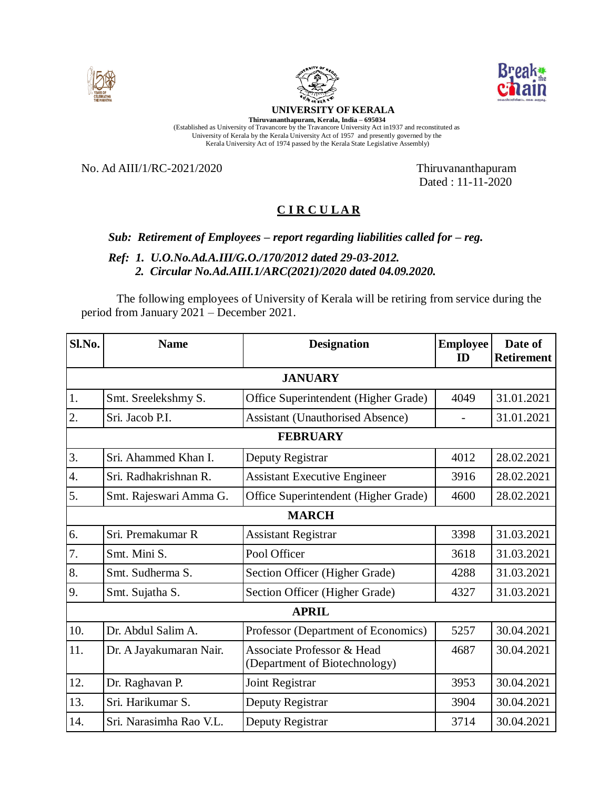





## **UNIVERSITY OF KERALA**

**Thiruvananthapuram, Kerala, India – 695034** (Established as University of Travancore by the Travancore University Act in1937 and reconstituted as University of Kerala by the Kerala University Act of 1957 and presently governed by the Kerala University Act of 1974 passed by the Kerala State Legislative Assembly)

No. Ad AIII/1/RC-2021/2020 Thiruvananthapuram

Dated : 11-11-2020

## **C I R C U L A R**

## *Sub: Retirement of Employees – report regarding liabilities called for – reg.*

 *Ref: 1. U.O.No.Ad.A.III/G.O./170/2012 dated 29-03-2012. 2. Circular No.Ad.AIII.1/ARC(2021)/2020 dated 04.09.2020.*

The following employees of University of Kerala will be retiring from service during the period from January 2021 – December 2021.

| Sl.No.           | <b>Name</b>             | <b>Designation</b>                                                     | <b>Employee</b><br>ID | Date of<br><b>Retirement</b> |  |  |  |
|------------------|-------------------------|------------------------------------------------------------------------|-----------------------|------------------------------|--|--|--|
| <b>JANUARY</b>   |                         |                                                                        |                       |                              |  |  |  |
| 1.               | Smt. Sreelekshmy S.     | Office Superintendent (Higher Grade)                                   | 4049                  | 31.01.2021                   |  |  |  |
| $\overline{2}$ . | Sri. Jacob P.I.         | <b>Assistant (Unauthorised Absence)</b>                                |                       | 31.01.2021                   |  |  |  |
| <b>FEBRUARY</b>  |                         |                                                                        |                       |                              |  |  |  |
| 3.               | Sri. Ahammed Khan I.    | Deputy Registrar                                                       | 4012                  | 28.02.2021                   |  |  |  |
| 4.               | Sri. Radhakrishnan R.   | <b>Assistant Executive Engineer</b>                                    | 3916                  | 28.02.2021                   |  |  |  |
| 5.               | Smt. Rajeswari Amma G.  | Office Superintendent (Higher Grade)                                   | 4600                  | 28.02.2021                   |  |  |  |
| <b>MARCH</b>     |                         |                                                                        |                       |                              |  |  |  |
| 6.               | Sri. Premakumar R       | <b>Assistant Registrar</b>                                             | 3398                  | 31.03.2021                   |  |  |  |
| 7.               | Smt. Mini S.            | Pool Officer                                                           | 3618                  | 31.03.2021                   |  |  |  |
| 8.               | Smt. Sudherma S.        | Section Officer (Higher Grade)                                         | 4288                  | 31.03.2021                   |  |  |  |
| 9.               | Smt. Sujatha S.         | Section Officer (Higher Grade)                                         | 4327                  | 31.03.2021                   |  |  |  |
| <b>APRIL</b>     |                         |                                                                        |                       |                              |  |  |  |
| 10.              | Dr. Abdul Salim A.      | Professor (Department of Economics)                                    | 5257                  | 30.04.2021                   |  |  |  |
| 11.              | Dr. A Jayakumaran Nair. | <b>Associate Professor &amp; Head</b><br>(Department of Biotechnology) | 4687                  | 30.04.2021                   |  |  |  |
| 12.              | Dr. Raghavan P.         | Joint Registrar                                                        | 3953                  | 30.04.2021                   |  |  |  |
| 13.              | Sri. Harikumar S.       | Deputy Registrar                                                       | 3904                  | 30.04.2021                   |  |  |  |
| 14.              | Sri. Narasimha Rao V.L. | Deputy Registrar                                                       | 3714                  | 30.04.2021                   |  |  |  |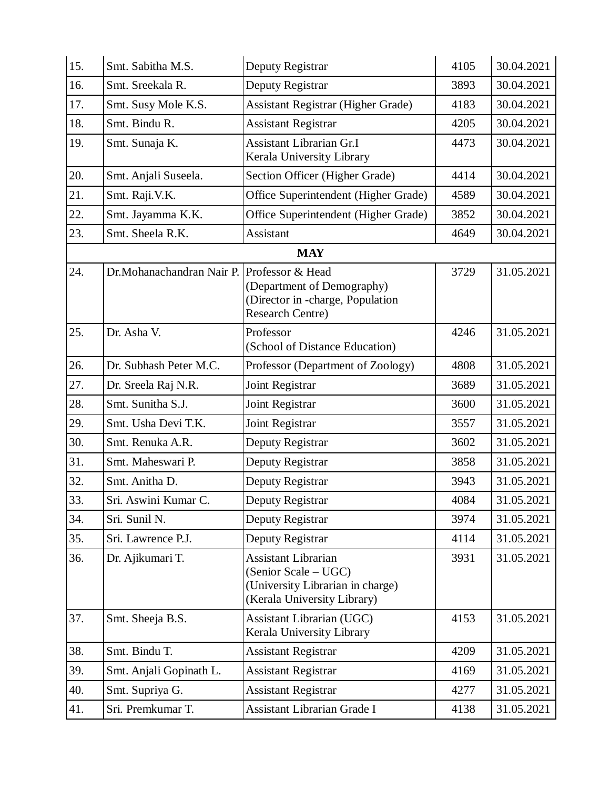| 15. | Smt. Sabitha M.S.                           | Deputy Registrar                                                                                                      | 4105 | 30.04.2021 |
|-----|---------------------------------------------|-----------------------------------------------------------------------------------------------------------------------|------|------------|
| 16. | Smt. Sreekala R.                            | Deputy Registrar                                                                                                      | 3893 | 30.04.2021 |
| 17. | Smt. Susy Mole K.S.                         | <b>Assistant Registrar (Higher Grade)</b>                                                                             | 4183 | 30.04.2021 |
| 18. | Smt. Bindu R.                               | <b>Assistant Registrar</b>                                                                                            | 4205 | 30.04.2021 |
| 19. | Smt. Sunaja K.                              | <b>Assistant Librarian Gr.I</b><br>Kerala University Library                                                          | 4473 | 30.04.2021 |
| 20. | Smt. Anjali Suseela.                        | Section Officer (Higher Grade)                                                                                        | 4414 | 30.04.2021 |
| 21. | Smt. Raji.V.K.                              | Office Superintendent (Higher Grade)                                                                                  | 4589 | 30.04.2021 |
| 22. | Smt. Jayamma K.K.                           | Office Superintendent (Higher Grade)                                                                                  | 3852 | 30.04.2021 |
| 23. | Smt. Sheela R.K.                            | Assistant                                                                                                             | 4649 | 30.04.2021 |
|     |                                             | <b>MAY</b>                                                                                                            |      |            |
| 24. | Dr. Mohanachandran Nair P. Professor & Head | (Department of Demography)<br>(Director in -charge, Population<br><b>Research Centre)</b>                             | 3729 | 31.05.2021 |
| 25. | Dr. Asha V.                                 | Professor<br>(School of Distance Education)                                                                           | 4246 | 31.05.2021 |
| 26. | Dr. Subhash Peter M.C.                      | Professor (Department of Zoology)                                                                                     | 4808 | 31.05.2021 |
| 27. | Dr. Sreela Raj N.R.                         | Joint Registrar                                                                                                       | 3689 | 31.05.2021 |
| 28. | Smt. Sunitha S.J.                           | Joint Registrar                                                                                                       | 3600 | 31.05.2021 |
| 29. | Smt. Usha Devi T.K.                         | Joint Registrar                                                                                                       | 3557 | 31.05.2021 |
| 30. | Smt. Renuka A.R.                            | Deputy Registrar                                                                                                      | 3602 | 31.05.2021 |
| 31. | Smt. Maheswari P.                           | Deputy Registrar                                                                                                      | 3858 | 31.05.2021 |
| 32. | Smt. Anitha D.                              | Deputy Registrar                                                                                                      | 3943 | 31.05.2021 |
| 33. | Sri. Aswini Kumar C.                        | Deputy Registrar                                                                                                      | 4084 | 31.05.2021 |
| 34. | Sri. Sunil N.                               | Deputy Registrar                                                                                                      | 3974 | 31.05.2021 |
| 35. | Sri. Lawrence P.J.                          | Deputy Registrar                                                                                                      | 4114 | 31.05.2021 |
| 36. | Dr. Ajikumari T.                            | <b>Assistant Librarian</b><br>(Senior Scale – UGC)<br>(University Librarian in charge)<br>(Kerala University Library) | 3931 | 31.05.2021 |
| 37. | Smt. Sheeja B.S.                            | Assistant Librarian (UGC)<br>Kerala University Library                                                                | 4153 | 31.05.2021 |
| 38. | Smt. Bindu T.                               | <b>Assistant Registrar</b>                                                                                            | 4209 | 31.05.2021 |
| 39. | Smt. Anjali Gopinath L.                     | <b>Assistant Registrar</b>                                                                                            | 4169 | 31.05.2021 |
| 40. | Smt. Supriya G.                             | <b>Assistant Registrar</b>                                                                                            | 4277 | 31.05.2021 |
| 41. | Sri. Premkumar T.                           | <b>Assistant Librarian Grade I</b>                                                                                    | 4138 | 31.05.2021 |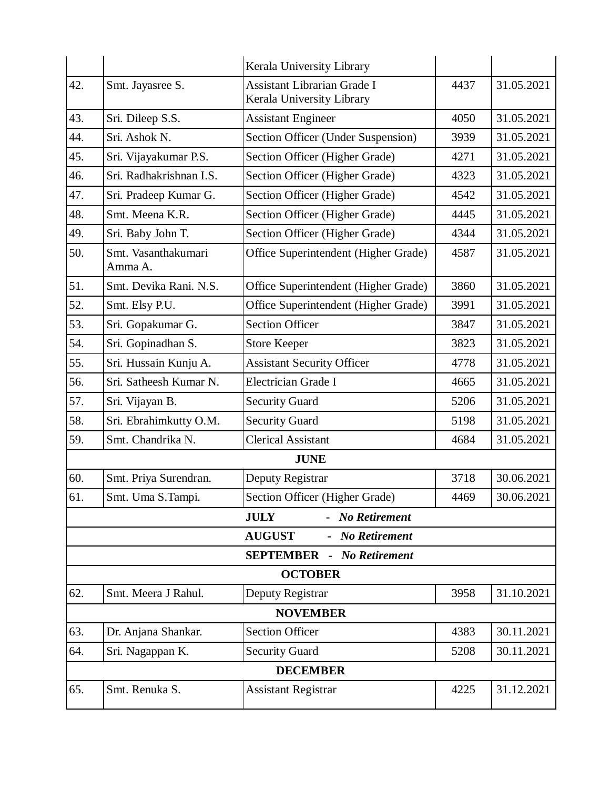|                                  |                                | Kerala University Library                                       |      |            |  |  |  |
|----------------------------------|--------------------------------|-----------------------------------------------------------------|------|------------|--|--|--|
| 42.                              | Smt. Jayasree S.               | <b>Assistant Librarian Grade I</b><br>Kerala University Library | 4437 | 31.05.2021 |  |  |  |
| 43.                              | Sri. Dileep S.S.               | <b>Assistant Engineer</b>                                       | 4050 | 31.05.2021 |  |  |  |
| 44.                              | Sri. Ashok N.                  | Section Officer (Under Suspension)                              | 3939 | 31.05.2021 |  |  |  |
| 45.                              | Sri. Vijayakumar P.S.          | Section Officer (Higher Grade)                                  | 4271 | 31.05.2021 |  |  |  |
| 46.                              | Sri. Radhakrishnan I.S.        | Section Officer (Higher Grade)                                  | 4323 | 31.05.2021 |  |  |  |
| 47.                              | Sri. Pradeep Kumar G.          | Section Officer (Higher Grade)                                  | 4542 | 31.05.2021 |  |  |  |
| 48.                              | Smt. Meena K.R.                | Section Officer (Higher Grade)                                  | 4445 | 31.05.2021 |  |  |  |
| 49.                              | Sri. Baby John T.              | Section Officer (Higher Grade)                                  | 4344 | 31.05.2021 |  |  |  |
| 50.                              | Smt. Vasanthakumari<br>Amma A. | Office Superintendent (Higher Grade)                            | 4587 | 31.05.2021 |  |  |  |
| 51.                              | Smt. Devika Rani. N.S.         | Office Superintendent (Higher Grade)                            | 3860 | 31.05.2021 |  |  |  |
| 52.                              | Smt. Elsy P.U.                 | Office Superintendent (Higher Grade)                            | 3991 | 31.05.2021 |  |  |  |
| 53.                              | Sri. Gopakumar G.              | <b>Section Officer</b>                                          | 3847 | 31.05.2021 |  |  |  |
| 54.                              | Sri. Gopinadhan S.             | <b>Store Keeper</b>                                             | 3823 | 31.05.2021 |  |  |  |
| 55.                              | Sri. Hussain Kunju A.          | <b>Assistant Security Officer</b>                               | 4778 | 31.05.2021 |  |  |  |
| 56.                              | Sri. Satheesh Kumar N.         | Electrician Grade I                                             | 4665 | 31.05.2021 |  |  |  |
| 57.                              | Sri. Vijayan B.                | <b>Security Guard</b>                                           | 5206 | 31.05.2021 |  |  |  |
| 58.                              | Sri. Ebrahimkutty O.M.         | <b>Security Guard</b>                                           | 5198 | 31.05.2021 |  |  |  |
| 59.                              | Smt. Chandrika N.              | <b>Clerical Assistant</b>                                       | 4684 | 31.05.2021 |  |  |  |
|                                  |                                | <b>JUNE</b>                                                     |      |            |  |  |  |
| 60.                              | Smt. Priya Surendran.          | Deputy Registrar                                                | 3718 | 30.06.2021 |  |  |  |
| 61.                              | Smt. Uma S.Tampi.              | Section Officer (Higher Grade)                                  | 4469 | 30.06.2021 |  |  |  |
|                                  |                                | <b>JULY</b><br>- No Retirement                                  |      |            |  |  |  |
| <b>AUGUST</b><br>- No Retirement |                                |                                                                 |      |            |  |  |  |
|                                  |                                | <b>SEPTEMBER</b> - No Retirement                                |      |            |  |  |  |
| <b>OCTOBER</b>                   |                                |                                                                 |      |            |  |  |  |
| 62.                              | Smt. Meera J Rahul.            | Deputy Registrar                                                | 3958 | 31.10.2021 |  |  |  |
| <b>NOVEMBER</b>                  |                                |                                                                 |      |            |  |  |  |
| 63.                              | Dr. Anjana Shankar.            | <b>Section Officer</b>                                          | 4383 | 30.11.2021 |  |  |  |
| 64.                              | Sri. Nagappan K.               | <b>Security Guard</b>                                           | 5208 | 30.11.2021 |  |  |  |
| <b>DECEMBER</b>                  |                                |                                                                 |      |            |  |  |  |
| 65.                              | Smt. Renuka S.                 | <b>Assistant Registrar</b>                                      | 4225 | 31.12.2021 |  |  |  |